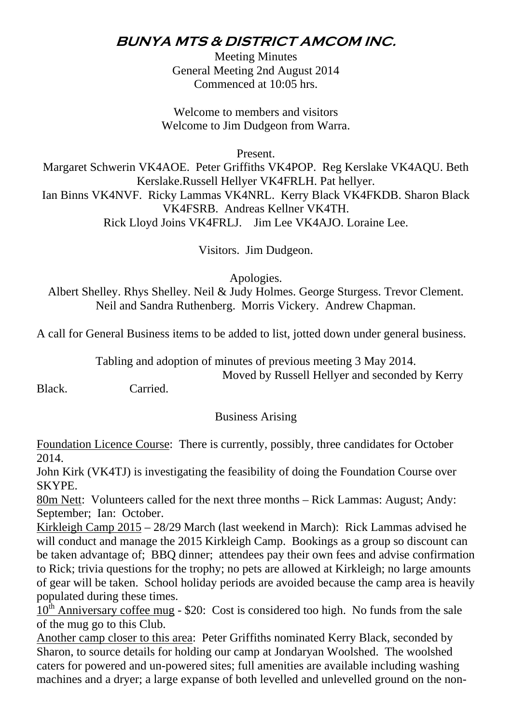## **BUNYA MTS & DISTRICT AMCOM INC.**

Meeting Minutes General Meeting 2nd August 2014 Commenced at 10:05 hrs.

Welcome to members and visitors Welcome to Jim Dudgeon from Warra.

Present.

Margaret Schwerin VK4AOE. Peter Griffiths VK4POP. Reg Kerslake VK4AQU. Beth Kerslake.Russell Hellyer VK4FRLH. Pat hellyer. Ian Binns VK4NVF. Ricky Lammas VK4NRL. Kerry Black VK4FKDB. Sharon Black VK4FSRB. Andreas Kellner VK4TH. Rick Lloyd Joins VK4FRLJ. Jim Lee VK4AJO. Loraine Lee.

Visitors. Jim Dudgeon.

Apologies.

Albert Shelley. Rhys Shelley. Neil & Judy Holmes. George Sturgess. Trevor Clement. Neil and Sandra Ruthenberg. Morris Vickery. Andrew Chapman.

A call for General Business items to be added to list, jotted down under general business.

Tabling and adoption of minutes of previous meeting 3 May 2014.

Moved by Russell Hellyer and seconded by Kerry

Black. Carried.

## Business Arising

Foundation Licence Course: There is currently, possibly, three candidates for October 2014.

John Kirk (VK4TJ) is investigating the feasibility of doing the Foundation Course over SKYPE.

80m Nett: Volunteers called for the next three months – Rick Lammas: August; Andy: September; Ian: October.

Kirkleigh Camp 2015 – 28/29 March (last weekend in March): Rick Lammas advised he will conduct and manage the 2015 Kirkleigh Camp. Bookings as a group so discount can be taken advantage of; BBQ dinner; attendees pay their own fees and advise confirmation to Rick; trivia questions for the trophy; no pets are allowed at Kirkleigh; no large amounts of gear will be taken. School holiday periods are avoided because the camp area is heavily populated during these times.

 $10^{th}$  Anniversary coffee mug - \$20: Cost is considered too high. No funds from the sale of the mug go to this Club.

Another camp closer to this area: Peter Griffiths nominated Kerry Black, seconded by Sharon, to source details for holding our camp at Jondaryan Woolshed. The woolshed caters for powered and un-powered sites; full amenities are available including washing machines and a dryer; a large expanse of both levelled and unlevelled ground on the non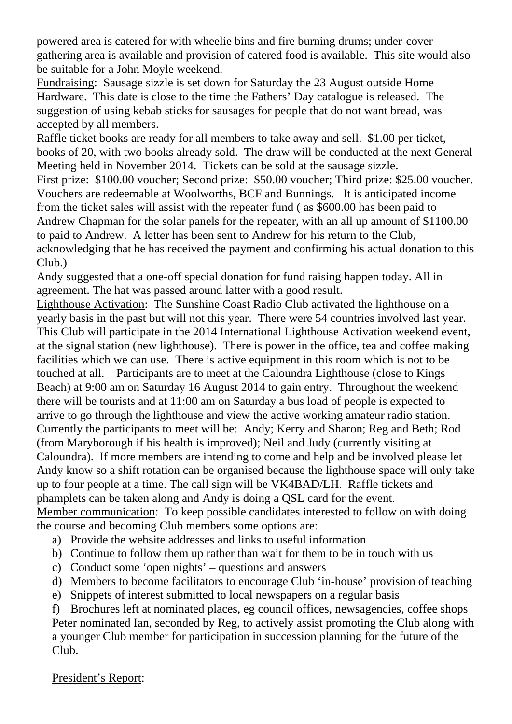powered area is catered for with wheelie bins and fire burning drums; under-cover gathering area is available and provision of catered food is available. This site would also be suitable for a John Moyle weekend.

Fundraising: Sausage sizzle is set down for Saturday the 23 August outside Home Hardware. This date is close to the time the Fathers' Day catalogue is released. The suggestion of using kebab sticks for sausages for people that do not want bread, was accepted by all members.

Raffle ticket books are ready for all members to take away and sell. \$1.00 per ticket, books of 20, with two books already sold. The draw will be conducted at the next General Meeting held in November 2014. Tickets can be sold at the sausage sizzle.

First prize: \$100.00 voucher; Second prize: \$50.00 voucher; Third prize: \$25.00 voucher. Vouchers are redeemable at Woolworths, BCF and Bunnings. It is anticipated income from the ticket sales will assist with the repeater fund ( as \$600.00 has been paid to Andrew Chapman for the solar panels for the repeater, with an all up amount of \$1100.00 to paid to Andrew. A letter has been sent to Andrew for his return to the Club, acknowledging that he has received the payment and confirming his actual donation to this Club.)

Andy suggested that a one-off special donation for fund raising happen today. All in agreement. The hat was passed around latter with a good result.

Lighthouse Activation: The Sunshine Coast Radio Club activated the lighthouse on a yearly basis in the past but will not this year. There were 54 countries involved last year. This Club will participate in the 2014 International Lighthouse Activation weekend event, at the signal station (new lighthouse). There is power in the office, tea and coffee making facilities which we can use. There is active equipment in this room which is not to be touched at all. Participants are to meet at the Caloundra Lighthouse (close to Kings Beach) at 9:00 am on Saturday 16 August 2014 to gain entry. Throughout the weekend there will be tourists and at 11:00 am on Saturday a bus load of people is expected to arrive to go through the lighthouse and view the active working amateur radio station. Currently the participants to meet will be: Andy; Kerry and Sharon; Reg and Beth; Rod (from Maryborough if his health is improved); Neil and Judy (currently visiting at Caloundra). If more members are intending to come and help and be involved please let Andy know so a shift rotation can be organised because the lighthouse space will only take up to four people at a time. The call sign will be VK4BAD/LH. Raffle tickets and phamplets can be taken along and Andy is doing a QSL card for the event. Member communication: To keep possible candidates interested to follow on with doing the course and becoming Club members some options are:

a) Provide the website addresses and links to useful information

- b) Continue to follow them up rather than wait for them to be in touch with us
- c) Conduct some 'open nights' questions and answers
- d) Members to become facilitators to encourage Club 'in-house' provision of teaching
- e) Snippets of interest submitted to local newspapers on a regular basis

f) Brochures left at nominated places, eg council offices, newsagencies, coffee shops Peter nominated Ian, seconded by Reg, to actively assist promoting the Club along with a younger Club member for participation in succession planning for the future of the Club.

## President's Report: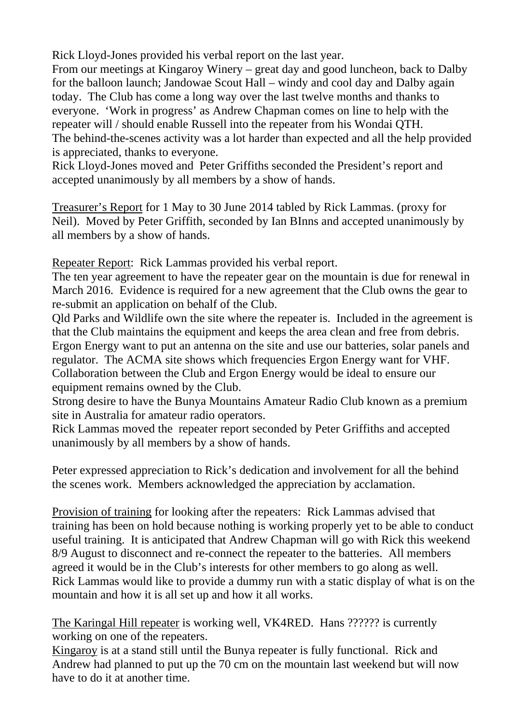Rick Lloyd-Jones provided his verbal report on the last year.

From our meetings at Kingaroy Winery – great day and good luncheon, back to Dalby for the balloon launch; Jandowae Scout Hall – windy and cool day and Dalby again today. The Club has come a long way over the last twelve months and thanks to everyone. 'Work in progress' as Andrew Chapman comes on line to help with the repeater will / should enable Russell into the repeater from his Wondai QTH. The behind-the-scenes activity was a lot harder than expected and all the help provided is appreciated, thanks to everyone.

Rick Lloyd-Jones moved and Peter Griffiths seconded the President's report and accepted unanimously by all members by a show of hands.

Treasurer's Report for 1 May to 30 June 2014 tabled by Rick Lammas. (proxy for Neil). Moved by Peter Griffith, seconded by Ian BInns and accepted unanimously by all members by a show of hands.

Repeater Report: Rick Lammas provided his verbal report.

The ten year agreement to have the repeater gear on the mountain is due for renewal in March 2016. Evidence is required for a new agreement that the Club owns the gear to re-submit an application on behalf of the Club.

Qld Parks and Wildlife own the site where the repeater is. Included in the agreement is that the Club maintains the equipment and keeps the area clean and free from debris. Ergon Energy want to put an antenna on the site and use our batteries, solar panels and regulator. The ACMA site shows which frequencies Ergon Energy want for VHF. Collaboration between the Club and Ergon Energy would be ideal to ensure our equipment remains owned by the Club.

Strong desire to have the Bunya Mountains Amateur Radio Club known as a premium site in Australia for amateur radio operators.

Rick Lammas moved the repeater report seconded by Peter Griffiths and accepted unanimously by all members by a show of hands.

Peter expressed appreciation to Rick's dedication and involvement for all the behind the scenes work. Members acknowledged the appreciation by acclamation.

Provision of training for looking after the repeaters: Rick Lammas advised that training has been on hold because nothing is working properly yet to be able to conduct useful training. It is anticipated that Andrew Chapman will go with Rick this weekend 8/9 August to disconnect and re-connect the repeater to the batteries. All members agreed it would be in the Club's interests for other members to go along as well. Rick Lammas would like to provide a dummy run with a static display of what is on the mountain and how it is all set up and how it all works.

The Karingal Hill repeater is working well, VK4RED. Hans ?????? is currently working on one of the repeaters.

Kingaroy is at a stand still until the Bunya repeater is fully functional. Rick and Andrew had planned to put up the 70 cm on the mountain last weekend but will now have to do it at another time.